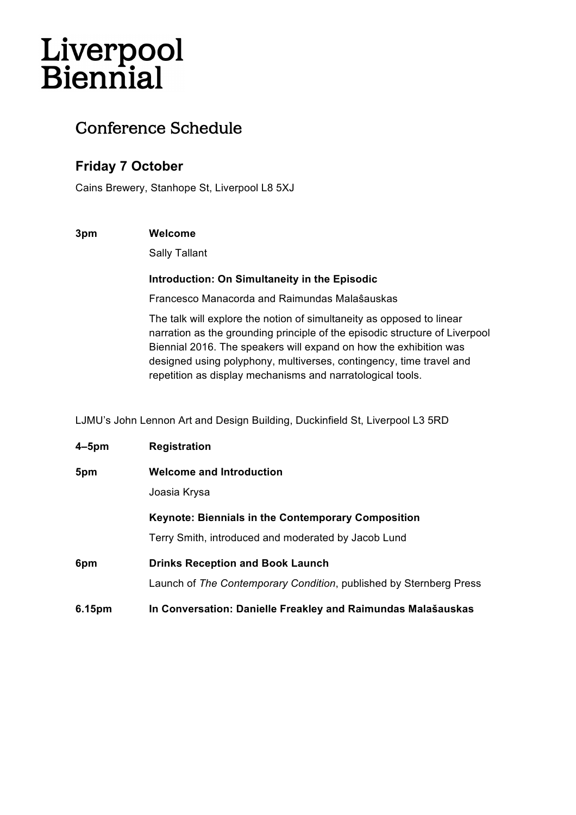# Liverpool<br>Biennial

## Conference Schedule

## **Friday 7 October**

Cains Brewery, Stanhope St, Liverpool L8 5XJ

#### **3pm Welcome**

Sally Tallant

#### **Introduction: On Simultaneity in the Episodic**

Francesco Manacorda and Raimundas Malaŝauskas

The talk will explore the notion of simultaneity as opposed to linear narration as the grounding principle of the episodic structure of Liverpool Biennial 2016. The speakers will expand on how the exhibition was designed using polyphony, multiverses, contingency, time travel and repetition as display mechanisms and narratological tools.

LJMU's John Lennon Art and Design Building, Duckinfield St, Liverpool L3 5RD

| 4–5pm  | <b>Registration</b>                                                                                              |
|--------|------------------------------------------------------------------------------------------------------------------|
| 5pm    | <b>Welcome and Introduction</b><br>Joasia Krysa                                                                  |
|        | <b>Keynote: Biennials in the Contemporary Composition</b><br>Terry Smith, introduced and moderated by Jacob Lund |
| 6pm    | <b>Drinks Reception and Book Launch</b><br>Launch of The Contemporary Condition, published by Sternberg Press    |
| 6.15pm | In Conversation: Danielle Freakley and Raimundas Malašauskas                                                     |